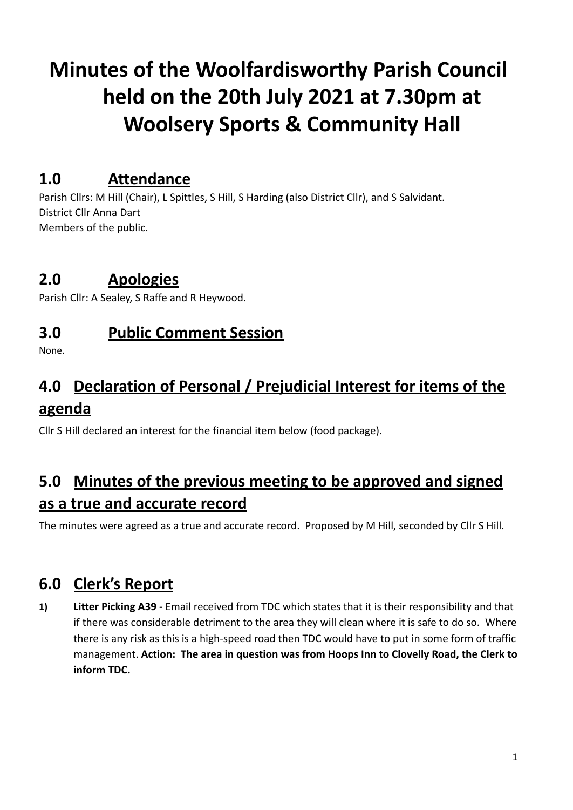# **Minutes of the Woolfardisworthy Parish Council held on the 20th July 2021 at 7.30pm at Woolsery Sports & Community Hall**

### **1.0 Attendance**

Parish Cllrs: M Hill (Chair), L Spittles, S Hill, S Harding (also District Cllr), and S Salvidant. District Cllr Anna Dart Members of the public.

### **2.0 Apologies**

Parish Cllr: A Sealey, S Raffe and R Heywood.

### **3.0 Public Comment Session**

None.

# **4.0 Declaration of Personal / Prejudicial Interest for items of the agenda**

Cllr S Hill declared an interest for the financial item below (food package).

# **5.0 Minutes of the previous meeting to be approved and signed as a true and accurate record**

The minutes were agreed as a true and accurate record. Proposed by M Hill, seconded by Cllr S Hill.

# **6.0 Clerk's Report**

**1) Litter Picking A39 -** Email received from TDC which states that it is their responsibility and that if there was considerable detriment to the area they will clean where it is safe to do so. Where there is any risk as this is a high-speed road then TDC would have to put in some form of traffic management. **Action: The area in question was from Hoops Inn to Clovelly Road, the Clerk to inform TDC.**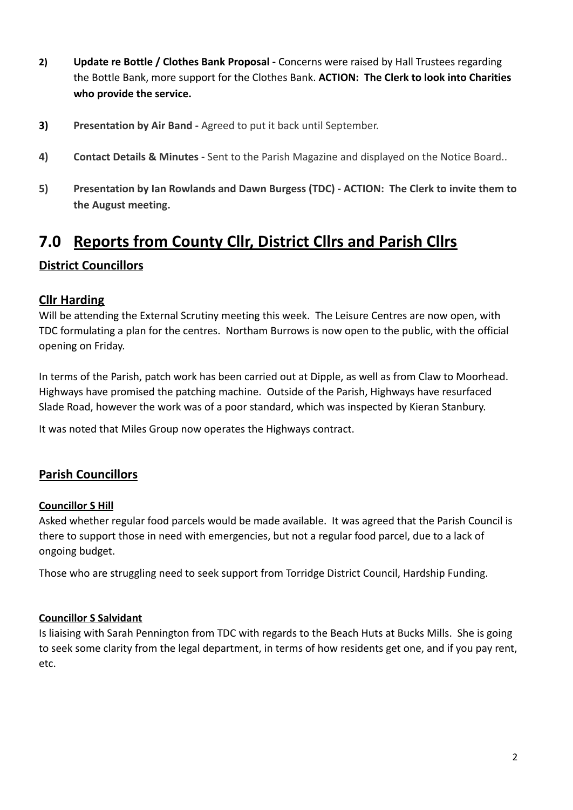- **2) Update re Bottle / Clothes Bank Proposal -** Concerns were raised by Hall Trustees regarding the Bottle Bank, more support for the Clothes Bank. **ACTION: The Clerk to look into Charities who provide the service.**
- **3) Presentation by Air Band -** Agreed to put it back until September.
- **4) Contact Details & Minutes -** Sent to the Parish Magazine and displayed on the Notice Board..
- **5) Presentation by Ian Rowlands and Dawn Burgess (TDC) ACTION: The Clerk to invite them to the August meeting.**

### **7.0 Reports from County Cllr, District Cllrs and Parish Cllrs**

### **District Councillors**

#### **Cllr Harding**

Will be attending the External Scrutiny meeting this week. The Leisure Centres are now open, with TDC formulating a plan for the centres. Northam Burrows is now open to the public, with the official opening on Friday.

In terms of the Parish, patch work has been carried out at Dipple, as well as from Claw to Moorhead. Highways have promised the patching machine. Outside of the Parish, Highways have resurfaced Slade Road, however the work was of a poor standard, which was inspected by Kieran Stanbury.

It was noted that Miles Group now operates the Highways contract.

#### **Parish Councillors**

#### **Councillor S Hill**

Asked whether regular food parcels would be made available. It was agreed that the Parish Council is there to support those in need with emergencies, but not a regular food parcel, due to a lack of ongoing budget.

Those who are struggling need to seek support from Torridge District Council, Hardship Funding.

#### **Councillor S Salvidant**

Is liaising with Sarah Pennington from TDC with regards to the Beach Huts at Bucks Mills. She is going to seek some clarity from the legal department, in terms of how residents get one, and if you pay rent, etc.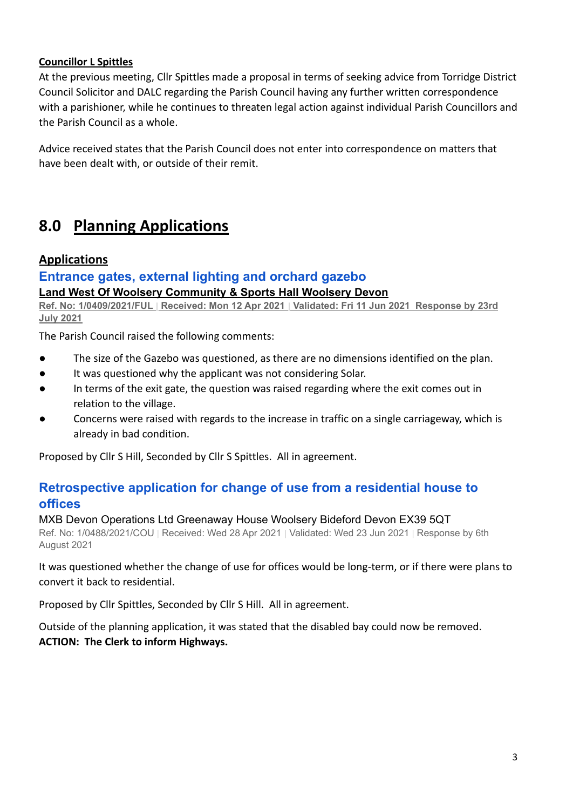#### **Councillor L Spittles**

At the previous meeting, Cllr Spittles made a proposal in terms of seeking advice from Torridge District Council Solicitor and DALC regarding the Parish Council having any further written correspondence with a parishioner, while he continues to threaten legal action against individual Parish Councillors and the Parish Council as a whole.

Advice received states that the Parish Council does not enter into correspondence on matters that have been dealt with, or outside of their remit.

### **8.0 Planning Applications**

#### **Applications**

### **[Entrance gates, external lighting and orchard gazebo](https://publicaccess.torridge.gov.uk/online-applications/applicationDetails.do?activeTab=summary&keyVal=QRGHY8QKMJL00&prevPage=inTray)**

#### **Land West Of Woolsery Community & Sports Hall Woolsery Devon**

**Ref. No: 1/0409/2021/FUL | Received: Mon 12 Apr 2021 | Validated: Fri 11 Jun 2021 Response by 23rd July 2021**

The Parish Council raised the following comments:

- The size of the Gazebo was questioned, as there are no dimensions identified on the plan.
- It was questioned why the applicant was not considering Solar.
- In terms of the exit gate, the question was raised regarding where the exit comes out in relation to the village.
- Concerns were raised with regards to the increase in traffic on a single carriageway, which is already in bad condition.

Proposed by Cllr S Hill, Seconded by Cllr S Spittles. All in agreement.

### **[Retrospective application for change of use from a](https://publicaccess.torridge.gov.uk/online-applications/applicationDetails.do?activeTab=summary&keyVal=QS9VO3QK0BO00&prevPage=inTray) residential house to [offices](https://publicaccess.torridge.gov.uk/online-applications/applicationDetails.do?activeTab=summary&keyVal=QS9VO3QK0BO00&prevPage=inTray)**

MXB Devon Operations Ltd Greenaway House Woolsery Bideford Devon EX39 5QT Ref. No: 1/0488/2021/COU | Received: Wed 28 Apr 2021 | Validated: Wed 23 Jun 2021 | Response by 6th August 2021

It was questioned whether the change of use for offices would be long-term, or if there were plans to convert it back to residential.

Proposed by Cllr Spittles, Seconded by Cllr S Hill. All in agreement.

Outside of the planning application, it was stated that the disabled bay could now be removed. **ACTION: The Clerk to inform Highways.**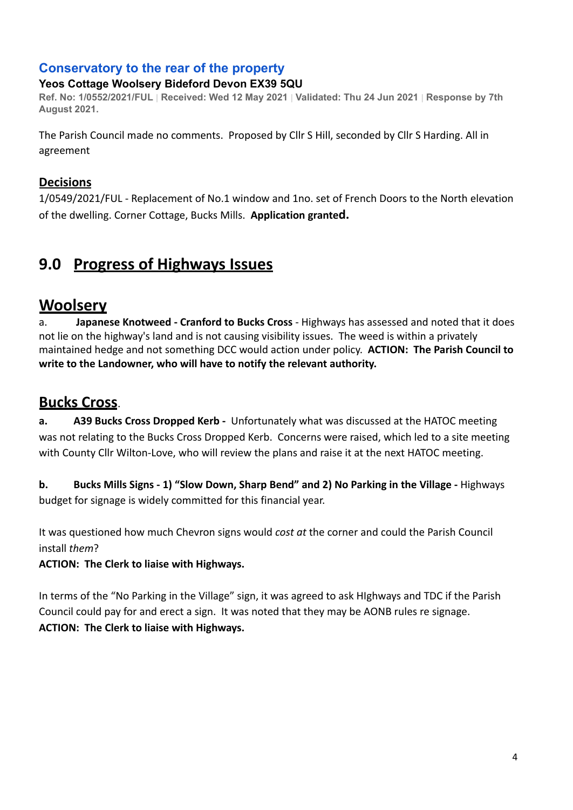### **[Conservatory to the rear of the property](https://publicaccess.torridge.gov.uk/online-applications/applicationDetails.do?activeTab=summary&keyVal=QSZZ1TQKN0900&prevPage=inTray)**

### **Yeos Cottage Woolsery Bideford Devon EX39 5QU**

Ref. No: 1/0552/2021/FUL | Received: Wed 12 May 2021 | Validated: Thu 24 Jun 2021 | Response by 7th **August 2021.**

The Parish Council made no comments. Proposed by Cllr S Hill, seconded by Cllr S Harding. All in agreement

### **Decisions**

1/0549/2021/FUL - Replacement of No.1 window and 1no. set of French Doors to the North elevation of the dwelling. Corner Cottage, Bucks Mills. **Application granted.**

# **9.0 Progress of Highways Issues**

### **Woolsery**

a. **Japanese Knotweed - Cranford to Bucks Cross** - Highways has assessed and noted that it does not lie on the highway's land and is not causing visibility issues. The weed is within a privately maintained hedge and not something DCC would action under policy. **ACTION: The Parish Council to write to the Landowner, who will have to notify the relevant authority.**

### **Bucks Cross**.

**a. A39 Bucks Cross Dropped Kerb -** Unfortunately what was discussed at the HATOC meeting was not relating to the Bucks Cross Dropped Kerb. Concerns were raised, which led to a site meeting with County Cllr Wilton-Love, who will review the plans and raise it at the next HATOC meeting.

**b. Bucks Mills Signs - 1) "Slow Down, Sharp Bend" and 2) No Parking in the Village -** Highways budget for signage is widely committed for this financial year.

It was questioned how much Chevron signs would *cost at* the corner and could the Parish Council install *them*?

#### **ACTION: The Clerk to liaise with Highways.**

In terms of the "No Parking in the Village" sign, it was agreed to ask HIghways and TDC if the Parish Council could pay for and erect a sign. It was noted that they may be AONB rules re signage. **ACTION: The Clerk to liaise with Highways.**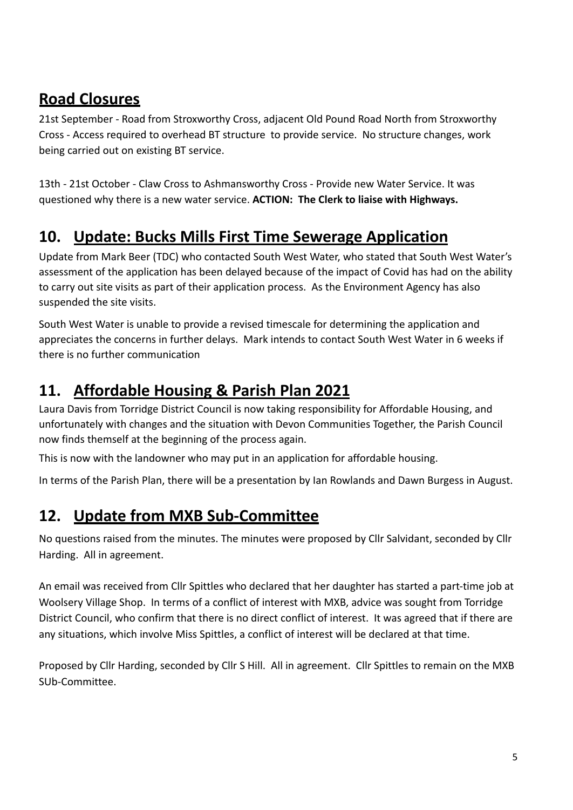# **Road Closures**

21st September - Road from Stroxworthy Cross, adjacent Old Pound Road North from Stroxworthy Cross - Access required to overhead BT structure to provide service. No structure changes, work being carried out on existing BT service.

13th - 21st October - Claw Cross to Ashmansworthy Cross - Provide new Water Service. It was questioned why there is a new water service. **ACTION: The Clerk to liaise with Highways.**

# **10. Update: Bucks Mills First Time Sewerage Application**

Update from Mark Beer (TDC) who contacted South West Water, who stated that South West Water's assessment of the application has been delayed because of the impact of Covid has had on the ability to carry out site visits as part of their application process. As the Environment Agency has also suspended the site visits.

South West Water is unable to provide a revised timescale for determining the application and appreciates the concerns in further delays. Mark intends to contact South West Water in 6 weeks if there is no further communication

# **11. Affordable Housing & Parish Plan 2021**

Laura Davis from Torridge District Council is now taking responsibility for Affordable Housing, and unfortunately with changes and the situation with Devon Communities Together, the Parish Council now finds themself at the beginning of the process again.

This is now with the landowner who may put in an application for affordable housing.

In terms of the Parish Plan, there will be a presentation by Ian Rowlands and Dawn Burgess in August.

# **12. Update from MXB Sub-Committee**

No questions raised from the minutes. The minutes were proposed by Cllr Salvidant, seconded by Cllr Harding. All in agreement.

An email was received from Cllr Spittles who declared that her daughter has started a part-time job at Woolsery Village Shop. In terms of a conflict of interest with MXB, advice was sought from Torridge District Council, who confirm that there is no direct conflict of interest. It was agreed that if there are any situations, which involve Miss Spittles, a conflict of interest will be declared at that time.

Proposed by Cllr Harding, seconded by Cllr S Hill. All in agreement. Cllr Spittles to remain on the MXB SUb-Committee.